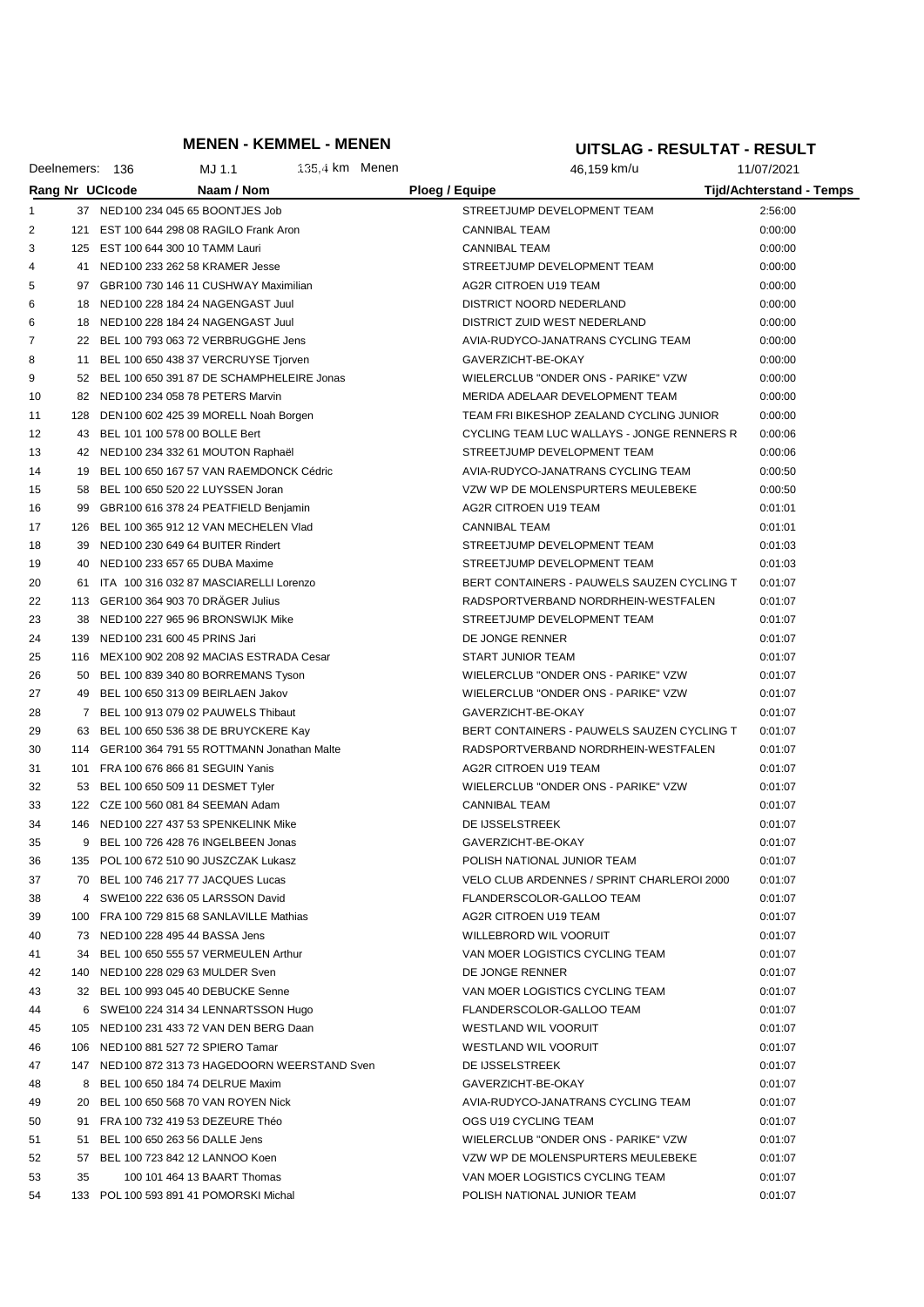## **MENEN - KEMMEL - MENEN**

#### **UITSLAG - RESULTAT - RESULT**

|          |     | Deelnemers: 136                   | MJ 1.1                                                                           | $135.4 \text{ km}$ Menen |                      | 46,159 km/u                                         | 11/07/2021                      |
|----------|-----|-----------------------------------|----------------------------------------------------------------------------------|--------------------------|----------------------|-----------------------------------------------------|---------------------------------|
|          |     | Rang Nr UCIcode                   | Naam / Nom                                                                       |                          | Ploeg / Equipe       |                                                     | <b>Tijd/Achterstand - Temps</b> |
| 1        |     |                                   | 37 NED 100 234 045 65 BOONTJES Job                                               |                          |                      | STREETJUMP DEVELOPMENT TEAM                         | 2:56:00                         |
| 2        | 121 |                                   | EST 100 644 298 08 RAGILO Frank Aron                                             |                          | <b>CANNIBAL TEAM</b> |                                                     | 0:00:00                         |
| 3        |     | 125 EST 100 644 300 10 TAMM Lauri |                                                                                  |                          | <b>CANNIBAL TEAM</b> |                                                     | 0:00:00                         |
| 4        |     |                                   | 41 NED 100 233 262 58 KRAMER Jesse                                               |                          |                      | STREETJUMP DEVELOPMENT TEAM                         | 0:00:00                         |
| 5        |     |                                   | 97 GBR100 730 146 11 CUSHWAY Maximilian                                          |                          |                      | AG2R CITROEN U19 TEAM                               | 0:00:00                         |
| 6        |     |                                   | 18 NED 100 228 184 24 NAGENGAST Juul                                             |                          |                      | DISTRICT NOORD NEDERLAND                            | 0:00:00                         |
| 6        | 18  |                                   | NED 100 228 184 24 NAGENGAST Juul                                                |                          |                      | DISTRICT ZUID WEST NEDERLAND                        | 0:00:00                         |
| 7        |     |                                   | 22 BEL 100 793 063 72 VERBRUGGHE Jens                                            |                          |                      | AVIA-RUDYCO-JANATRANS CYCLING TEAM                  | 0:00:00                         |
| 8        | 11  |                                   | BEL 100 650 438 37 VERCRUYSE Tjorven                                             |                          | GAVERZICHT-BE-OKAY   |                                                     | 0:00:00                         |
| 9        |     |                                   | 52 BEL 100 650 391 87 DE SCHAMPHELEIRE Jonas                                     |                          |                      | WIELERCLUB "ONDER ONS - PARIKE" VZW                 | 0:00:00                         |
| 10       |     |                                   | 82 NED 100 234 058 78 PETERS Marvin                                              |                          |                      | MERIDA ADELAAR DEVELOPMENT TEAM                     | 0:00:00                         |
| 11       | 128 |                                   | DEN 100 602 425 39 MORELL Noah Borgen                                            |                          |                      | TEAM FRI BIKESHOP ZEALAND CYCLING JUNIOR            | 0:00:00                         |
| 12       |     | 43 BEL 101 100 578 00 BOLLE Bert  |                                                                                  |                          |                      | CYCLING TEAM LUC WALLAYS - JONGE RENNERS R          | 0:00:06                         |
| 13       |     |                                   | 42 NED 100 234 332 61 MOUTON Raphaël                                             |                          |                      | STREETJUMP DEVELOPMENT TEAM                         | 0:00:06                         |
| 14       | 19  |                                   | BEL 100 650 167 57 VAN RAEMDONCK Cédric                                          |                          |                      | AVIA-RUDYCO-JANATRANS CYCLING TEAM                  | 0:00:50                         |
| 15       | 58  |                                   | BEL 100 650 520 22 LUYSSEN Joran                                                 |                          |                      | VZW WP DE MOLENSPURTERS MEULEBEKE                   | 0:00:50                         |
| 16       | 99  |                                   | GBR100 616 378 24 PEATFIELD Benjamin                                             |                          |                      | AG2R CITROEN U19 TEAM                               | 0:01:01                         |
| 17       | 126 |                                   | BEL 100 365 912 12 VAN MECHELEN Vlad                                             |                          | <b>CANNIBAL TEAM</b> |                                                     | 0:01:01                         |
| 18       | 39  |                                   | NED 100 230 649 64 BUITER Rindert                                                |                          |                      | STREETJUMP DEVELOPMENT TEAM                         | 0:01:03                         |
| 19       | 40  |                                   | NED 100 233 657 65 DUBA Maxime                                                   |                          |                      | STREETJUMP DEVELOPMENT TEAM                         | 0:01:03                         |
| 20       | 61  |                                   | ITA 100 316 032 87 MASCIARELLI Lorenzo                                           |                          |                      | BERT CONTAINERS - PAUWELS SAUZEN CYCLING T          | 0:01:07                         |
| 22       |     |                                   | 113 GER100 364 903 70 DRÄGER Julius                                              |                          |                      | RADSPORTVERBAND NORDRHEIN-WESTFALEN                 | 0:01:07                         |
| 23       | 38  |                                   | NED 100 227 965 96 BRONSWIJK Mike                                                |                          |                      | STREETJUMP DEVELOPMENT TEAM                         | 0:01:07                         |
| 24       | 139 | NED 100 231 600 45 PRINS Jari     |                                                                                  |                          | DE JONGE RENNER      |                                                     | 0:01:07                         |
| 25       |     |                                   | 116 MEX100 902 208 92 MACIAS ESTRADA Cesar                                       |                          | START JUNIOR TEAM    |                                                     | 0:01:07                         |
| 26       | 50  |                                   | BEL 100 839 340 80 BORREMANS Tyson                                               |                          |                      | WIELERCLUB "ONDER ONS - PARIKE" VZW                 | 0:01:07                         |
| 27       |     |                                   | 49 BEL 100 650 313 09 BEIRLAEN Jakov                                             |                          |                      | WIELERCLUB "ONDER ONS - PARIKE" VZW                 | 0:01:07                         |
| 28       |     |                                   | 7 BEL 100 913 079 02 PAUWELS Thibaut                                             |                          | GAVERZICHT-BE-OKAY   |                                                     | 0:01:07                         |
| 29       | 63  |                                   | BEL 100 650 536 38 DE BRUYCKERE Kay                                              |                          |                      | BERT CONTAINERS - PAUWELS SAUZEN CYCLING T          | 0:01:07                         |
| 30       | 114 |                                   | GER100 364 791 55 ROTTMANN Jonathan Malte                                        |                          |                      | RADSPORTVERBAND NORDRHEIN-WESTFALEN                 | 0:01:07                         |
| 31       | 101 |                                   | FRA 100 676 866 81 SEGUIN Yanis                                                  |                          |                      | AG2R CITROEN U19 TEAM                               | 0:01:07                         |
| 32       |     |                                   | 53 BEL 100 650 509 11 DESMET Tyler                                               |                          |                      | WIELERCLUB "ONDER ONS - PARIKE" VZW                 | 0:01:07                         |
| 33       |     |                                   | 122 CZE 100 560 081 84 SEEMAN Adam                                               |                          | <b>CANNIBAL TEAM</b> |                                                     | 0:01:07                         |
| 34       | 146 |                                   | NED 100 227 437 53 SPENKELINK Mike                                               |                          | DE IJSSELSTREEK      |                                                     | 0:01:07                         |
| 35       |     |                                   | 9 BEL 100 726 428 76 INGELBEEN Jonas                                             |                          | GAVERZICHT-BE-OKAY   |                                                     | 0:01:07                         |
| 36       |     |                                   | 135 POL 100 672 510 90 JUSZCZAK Lukasz                                           |                          |                      | POLISH NATIONAL JUNIOR TEAM                         | 0:01:07                         |
| 37       |     |                                   | 70 BEL 100 746 217 77 JACQUES Lucas                                              |                          |                      | VELO CLUB ARDENNES / SPRINT CHARLEROI 2000          | 0:01:07                         |
| 38       |     |                                   | 4 SWE100 222 636 05 LARSSON David                                                |                          |                      | FLANDERSCOLOR-GALLOO TEAM                           | 0:01:07                         |
| 39       |     |                                   | 100 FRA 100 729 815 68 SANLAVILLE Mathias                                        |                          |                      | AG2R CITROEN U19 TEAM                               | 0:01:07                         |
| 40       |     | 73 NED 100 228 495 44 BASSA Jens  |                                                                                  |                          |                      | WILLEBRORD WIL VOORUIT                              | 0:01:07                         |
| 41       |     |                                   | 34 BEL 100 650 555 57 VERMEULEN Arthur                                           |                          |                      | VAN MOER LOGISTICS CYCLING TEAM                     | 0:01:07                         |
| 42       |     |                                   | 140 NED 100 228 029 63 MULDER Sven                                               |                          | DE JONGE RENNER      |                                                     | 0:01:07                         |
| 43       |     |                                   | 32 BEL 100 993 045 40 DEBUCKE Senne                                              |                          |                      | VAN MOER LOGISTICS CYCLING TEAM                     | 0:01:07                         |
| 44       |     |                                   | 6 SWE100 224 314 34 LENNARTSSON Hugo<br>105 NED 100 231 433 72 VAN DEN BERG Daan |                          |                      | FLANDERSCOLOR-GALLOO TEAM                           | 0:01:07                         |
| 45       |     |                                   | 106 NED 100 881 527 72 SPIERO Tamar                                              |                          |                      | WESTLAND WIL VOORUIT<br><b>WESTLAND WIL VOORUIT</b> | 0:01:07                         |
| 46       |     |                                   | 147 NED 100 872 313 73 HAGEDOORN WEERSTAND Sven                                  |                          | DE IJSSELSTREEK      |                                                     | 0:01:07                         |
| 47<br>48 |     |                                   | 8 BEL 100 650 184 74 DELRUE Maxim                                                |                          | GAVERZICHT-BE-OKAY   |                                                     | 0:01:07<br>0:01:07              |
| 49       |     |                                   | 20 BEL 100 650 568 70 VAN ROYEN Nick                                             |                          |                      | AVIA-RUDYCO-JANATRANS CYCLING TEAM                  | 0:01:07                         |
| 50       |     |                                   | 91 FRA 100 732 419 53 DEZEURE Théo                                               |                          |                      | OGS U19 CYCLING TEAM                                | 0:01:07                         |
| 51       |     | 51 BEL 100 650 263 56 DALLE Jens  |                                                                                  |                          |                      | WIELERCLUB "ONDER ONS - PARIKE" VZW                 | 0:01:07                         |
| 52       |     |                                   | 57 BEL 100 723 842 12 LANNOO Koen                                                |                          |                      | VZW WP DE MOLENSPURTERS MEULEBEKE                   | 0:01:07                         |
| 53       | 35  |                                   | 100 101 464 13 BAART Thomas                                                      |                          |                      | VAN MOER LOGISTICS CYCLING TEAM                     | 0:01:07                         |
| 54       |     |                                   | 133 POL 100 593 891 41 POMORSKI Michal                                           |                          |                      | POLISH NATIONAL JUNIOR TEAM                         | 0:01:07                         |
|          |     |                                   |                                                                                  |                          |                      |                                                     |                                 |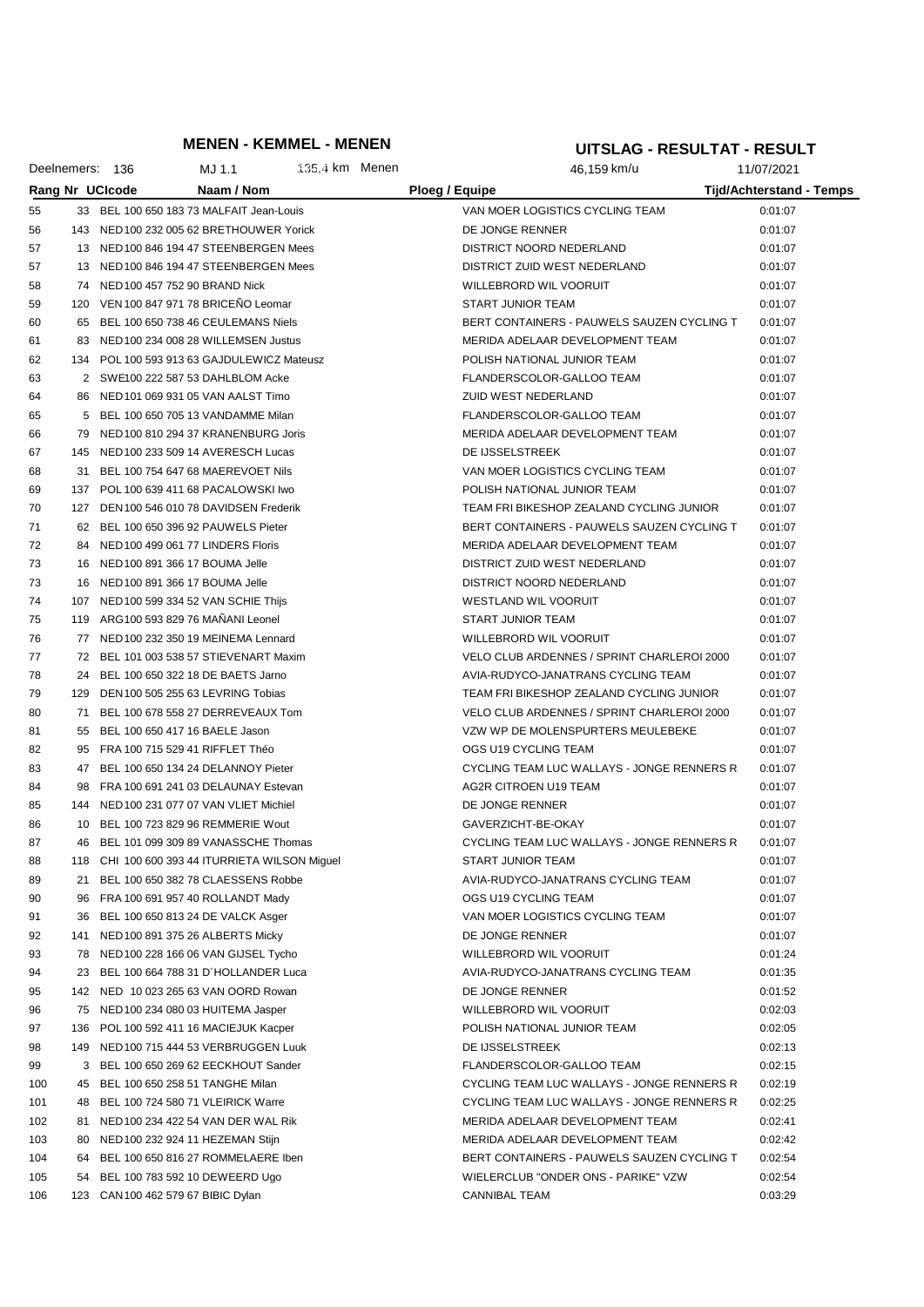## **MENEN - KEMMEL - MENEN**

#### **UITSLAG - RESULTAT - RESULT**

|     |    | Deelnemers: 136        | MJ 1.1                                         | $135.4 \text{ km}$ Menen |                | 46,159 km/u                                | 11/07/2021                      |
|-----|----|------------------------|------------------------------------------------|--------------------------|----------------|--------------------------------------------|---------------------------------|
|     |    | <b>Rang Nr UCIcode</b> | Naam / Nom                                     |                          | Ploeg / Equipe |                                            | <b>Tijd/Achterstand - Temps</b> |
| 55  |    |                        | 33 BEL 100 650 183 73 MALFAIT Jean-Louis       |                          |                | VAN MOER LOGISTICS CYCLING TEAM            | 0:01:07                         |
| 56  |    |                        | 143 NED 100 232 005 62 BRETHOUWER Yorick       |                          |                | DE JONGE RENNER                            | 0:01:07                         |
| 57  |    |                        | 13 NED 100 846 194 47 STEENBERGEN Mees         |                          |                | DISTRICT NOORD NEDERLAND                   | 0:01:07                         |
| 57  |    |                        | 13 NED 100 846 194 47 STEENBERGEN Mees         |                          |                | DISTRICT ZUID WEST NEDERLAND               | 0:01:07                         |
| 58  |    |                        | 74 NED 100 457 752 90 BRAND Nick               |                          |                | WILLEBRORD WIL VOORUIT                     | 0:01:07                         |
| 59  |    |                        | 120 VEN 100 847 971 78 BRICEÑO Leomar          |                          |                | <b>START JUNIOR TEAM</b>                   | 0:01:07                         |
| 60  | 65 |                        | BEL 100 650 738 46 CEULEMANS Niels             |                          |                | BERT CONTAINERS - PAUWELS SAUZEN CYCLING T |                                 |
|     |    |                        |                                                |                          |                | MERIDA ADELAAR DEVELOPMENT TEAM            | 0:01:07                         |
| 61  |    |                        | 83 NED 100 234 008 28 WILLEMSEN Justus         |                          |                |                                            | 0:01:07                         |
| 62  |    |                        | 134 POL 100 593 913 63 GAJDULEWICZ Mateusz     |                          |                | POLISH NATIONAL JUNIOR TEAM                | 0:01:07                         |
| 63  |    |                        | 2 SWE100 222 587 53 DAHLBLOM Acke              |                          |                | FLANDERSCOLOR-GALLOO TEAM                  | 0:01:07                         |
| 64  |    |                        | 86 NED 101 069 931 05 VAN AALST Timo           |                          |                | ZUID WEST NEDERLAND                        | 0:01:07                         |
| 65  |    |                        | 5 BEL 100 650 705 13 VANDAMME Milan            |                          |                | FLANDERSCOLOR-GALLOO TEAM                  | 0:01:07                         |
| 66  |    |                        | 79 NED 100 810 294 37 KRANENBURG Joris         |                          |                | MERIDA ADELAAR DEVELOPMENT TEAM            | 0:01:07                         |
| 67  |    |                        | 145 NED 100 233 509 14 AVERESCH Lucas          |                          |                | DE IJSSELSTREEK                            | 0:01:07                         |
| 68  |    |                        | 31 BEL 100 754 647 68 MAEREVOET Nils           |                          |                | VAN MOER LOGISTICS CYCLING TEAM            | 0:01:07                         |
| 69  |    |                        | 137 POL 100 639 411 68 PACALOWSKI Iwo          |                          |                | POLISH NATIONAL JUNIOR TEAM                | 0:01:07                         |
| 70  |    |                        | 127 DEN 100 546 010 78 DAVIDSEN Frederik       |                          |                | TEAM FRI BIKESHOP ZEALAND CYCLING JUNIOR   | 0:01:07                         |
| 71  |    |                        | 62 BEL 100 650 396 92 PAUWELS Pieter           |                          |                | BERT CONTAINERS - PAUWELS SAUZEN CYCLING T | 0:01:07                         |
| 72  |    |                        | 84 NED 100 499 061 77 LINDERS Floris           |                          |                | MERIDA ADELAAR DEVELOPMENT TEAM            | 0:01:07                         |
| 73  |    |                        | 16 NED 100 891 366 17 BOUMA Jelle              |                          |                | DISTRICT ZUID WEST NEDERLAND               | 0:01:07                         |
| 73  |    |                        | 16 NED 100 891 366 17 BOUMA Jelle              |                          |                | <b>DISTRICT NOORD NEDERLAND</b>            | 0:01:07                         |
| 74  |    |                        | 107 NED 100 599 334 52 VAN SCHIE Thijs         |                          |                | <b>WESTLAND WIL VOORUIT</b>                | 0:01:07                         |
| 75  |    |                        | 119 ARG100 593 829 76 MANANI Leonel            |                          |                | <b>START JUNIOR TEAM</b>                   | 0:01:07                         |
| 76  |    |                        | 77 NED 100 232 350 19 MEINEMA Lennard          |                          |                | WILLEBRORD WIL VOORUIT                     | 0:01:07                         |
| 77  |    |                        | 72 BEL 101 003 538 57 STIEVENART Maxim         |                          |                | VELO CLUB ARDENNES / SPRINT CHARLEROI 2000 | 0:01:07                         |
| 78  |    |                        | 24 BEL 100 650 322 18 DE BAETS Jarno           |                          |                | AVIA-RUDYCO-JANATRANS CYCLING TEAM         | 0:01:07                         |
| 79  |    |                        | 129 DEN 100 505 255 63 LEVRING Tobias          |                          |                | TEAM FRI BIKESHOP ZEALAND CYCLING JUNIOR   | 0:01:07                         |
| 80  |    |                        | 71 BEL 100 678 558 27 DERREVEAUX Tom           |                          |                | VELO CLUB ARDENNES / SPRINT CHARLEROI 2000 | 0:01:07                         |
| 81  | 55 |                        | BEL 100 650 417 16 BAELE Jason                 |                          |                | VZW WP DE MOLENSPURTERS MEULEBEKE          | 0:01:07                         |
| 82  |    |                        | 95 FRA 100 715 529 41 RIFFLET Théo             |                          |                | OGS U19 CYCLING TEAM                       | 0:01:07                         |
| 83  |    |                        | 47 BEL 100 650 134 24 DELANNOY Pieter          |                          |                | CYCLING TEAM LUC WALLAYS - JONGE RENNERS R | 0:01:07                         |
| 84  |    |                        | 98 FRA 100 691 241 03 DELAUNAY Estevan         |                          |                | AG2R CITROEN U19 TEAM                      | 0:01:07                         |
| 85  |    |                        | 144 NED 100 231 077 07 VAN VLIET Michiel       |                          |                | DE JONGE RENNER                            | 0:01:07                         |
| 86  |    |                        | 10 BEL 100 723 829 96 REMMERIE Wout            |                          |                | GAVERZICHT-BE-OKAY                         | 0:01:07                         |
| 87  |    |                        | 46 BEL 101 099 309 89 VANASSCHE Thomas         |                          |                | CYCLING TEAM LUC WALLAYS - JONGE RENNERS R | 0:01:07                         |
| 88  |    |                        | 118 CHI 100 600 393 44 ITURRIETA WILSON Miguel |                          |                | START JUNIOR TEAM                          | 0:01:07                         |
| 89  |    |                        | 21 BEL 100 650 382 78 CLAESSENS Robbe          |                          |                | AVIA-RUDYCO-JANATRANS CYCLING TEAM         | 0:01:07                         |
| 90  |    |                        | 96 FRA 100 691 957 40 ROLLANDT Mady            |                          |                | OGS U19 CYCLING TEAM                       | 0:01:07                         |
| 91  |    |                        | 36 BEL 100 650 813 24 DE VALCK Asger           |                          |                | VAN MOER LOGISTICS CYCLING TEAM            | 0:01:07                         |
| 92  |    |                        | 141 NED 100 891 375 26 ALBERTS Micky           |                          |                | DE JONGE RENNER                            | 0:01:07                         |
| 93  |    |                        | 78 NED 100 228 166 06 VAN GIJSEL Tycho         |                          |                | WILLEBRORD WIL VOORUIT                     | 0:01:24                         |
| 94  |    |                        | 23 BEL 100 664 788 31 D'HOLLANDER Luca         |                          |                | AVIA-RUDYCO-JANATRANS CYCLING TEAM         | 0:01:35                         |
| 95  |    |                        | 142 NED 10 023 265 63 VAN OORD Rowan           |                          |                | DE JONGE RENNER                            | 0:01:52                         |
| 96  |    |                        | 75 NED 100 234 080 03 HUITEMA Jasper           |                          |                | WILLEBRORD WIL VOORUIT                     | 0:02:03                         |
| 97  |    |                        | 136 POL 100 592 411 16 MACIEJUK Kacper         |                          |                | POLISH NATIONAL JUNIOR TEAM                | 0:02:05                         |
| 98  |    |                        | 149 NED 100 715 444 53 VERBRUGGEN Luuk         |                          |                | DE IJSSELSTREEK                            | 0:02:13                         |
| 99  |    |                        | 3 BEL 100 650 269 62 EECKHOUT Sander           |                          |                | FLANDERSCOLOR-GALLOO TEAM                  | 0:02:15                         |
| 100 |    |                        | 45 BEL 100 650 258 51 TANGHE Milan             |                          |                | CYCLING TEAM LUC WALLAYS - JONGE RENNERS R | 0:02:19                         |
| 101 |    |                        | 48 BEL 100 724 580 71 VLEIRICK Warre           |                          |                | CYCLING TEAM LUC WALLAYS - JONGE RENNERS R | 0:02:25                         |
| 102 |    |                        | 81 NED 100 234 422 54 VAN DER WAL Rik          |                          |                | MERIDA ADELAAR DEVELOPMENT TEAM            | 0:02:41                         |
| 103 |    |                        | 80 NED 100 232 924 11 HEZEMAN Stijn            |                          |                | MERIDA ADELAAR DEVELOPMENT TEAM            | 0:02:42                         |
| 104 | 64 |                        | BEL 100 650 816 27 ROMMELAERE Iben             |                          |                | BERT CONTAINERS - PAUWELS SAUZEN CYCLING T | 0:02:54                         |
| 105 |    |                        | 54 BEL 100 783 592 10 DEWEERD Ugo              |                          |                | WIELERCLUB "ONDER ONS - PARIKE" VZW        | 0:02:54                         |
| 106 |    |                        | 123 CAN 100 462 579 67 BIBIC Dylan             |                          |                | <b>CANNIBAL TEAM</b>                       | 0:03:29                         |
|     |    |                        |                                                |                          |                |                                            |                                 |